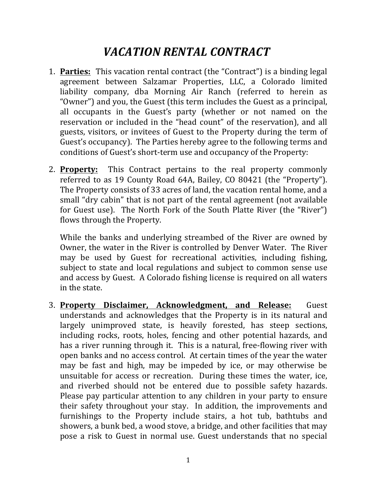## *VACATION RENTAL CONTRACT*

- 1. **Parties:** This vacation rental contract (the "Contract") is a binding legal agreement between Salzamar Properties, LLC, a Colorado limited liability company, dba Morning Air Ranch (referred to herein as "Owner") and you, the Guest (this term includes the Guest as a principal, all occupants in the Guest's party (whether or not named on the reservation or included in the "head count" of the reservation), and all guests, visitors, or invitees of Guest to the Property during the term of Guest's occupancy). The Parties hereby agree to the following terms and conditions of Guest's short-term use and occupancy of the Property:
- 2. **Property:** This Contract pertains to the real property commonly referred to as 19 County Road 64A, Bailey, CO 80421 (the "Property"). The Property consists of 33 acres of land, the vacation rental home, and a small "dry cabin" that is not part of the rental agreement (not available for Guest use). The North Fork of the South Platte River (the "River") flows through the Property.

While the banks and underlying streambed of the River are owned by Owner, the water in the River is controlled by Denver Water. The River may be used by Guest for recreational activities, including fishing, subject to state and local regulations and subject to common sense use and access by Guest. A Colorado fishing license is required on all waters in the state.

3. **Property Disclaimer, Acknowledgment, and Release:** Guest understands and acknowledges that the Property is in its natural and largely unimproved state, is heavily forested, has steep sections, including rocks, roots, holes, fencing and other potential hazards, and has a river running through it. This is a natural, free-flowing river with open banks and no access control. At certain times of the year the water may be fast and high, may be impeded by ice, or may otherwise be unsuitable for access or recreation. During these times the water, ice, and riverbed should not be entered due to possible safety hazards. Please pay particular attention to any children in your party to ensure their safety throughout your stay. In addition, the improvements and furnishings to the Property include stairs, a hot tub, bathtubs and showers, a bunk bed, a wood stove, a bridge, and other facilities that may pose a risk to Guest in normal use. Guest understands that no special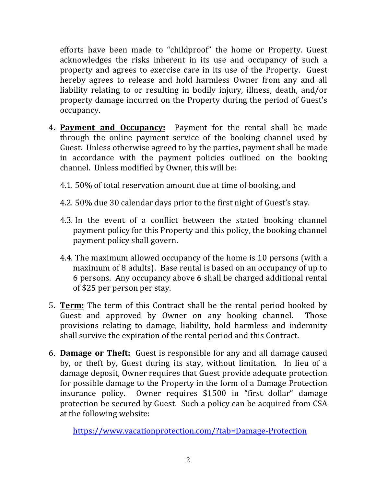efforts have been made to "childproof" the home or Property. Guest acknowledges the risks inherent in its use and occupancy of such a property and agrees to exercise care in its use of the Property. Guest hereby agrees to release and hold harmless Owner from any and all liability relating to or resulting in bodily injury, illness, death, and/or property damage incurred on the Property during the period of Guest's occupancy.

- 4. **Payment and Occupancy:** Payment for the rental shall be made through the online payment service of the booking channel used by Guest. Unless otherwise agreed to by the parties, payment shall be made in accordance with the payment policies outlined on the booking channel. Unless modified by Owner, this will be:
	- 4.1. 50% of total reservation amount due at time of booking, and
	- 4.2. 50% due 30 calendar days prior to the first night of Guest's stay.
	- 4.3. In the event of a conflict between the stated booking channel payment policy for this Property and this policy, the booking channel payment policy shall govern.
	- 4.4. The maximum allowed occupancy of the home is 10 persons (with a maximum of 8 adults). Base rental is based on an occupancy of up to 6 persons. Any occupancy above 6 shall be charged additional rental of \$25 per person per stay.
- 5. **Term:** The term of this Contract shall be the rental period booked by Guest and approved by Owner on any booking channel. Those provisions relating to damage, liability, hold harmless and indemnity shall survive the expiration of the rental period and this Contract.
- 6. **Damage or Theft:** Guest is responsible for any and all damage caused by, or theft by, Guest during its stay, without limitation. In lieu of a damage deposit, Owner requires that Guest provide adequate protection for possible damage to the Property in the form of a Damage Protection insurance policy. Owner requires \$1500 in "first dollar" damage protection be secured by Guest. Such a policy can be acquired from CSA at the following website:

https://www.vacationprotection.com/?tab=Damage-Protection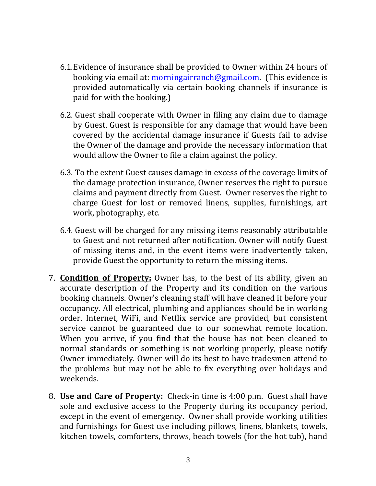- 6.1. Evidence of insurance shall be provided to Owner within 24 hours of booking via email at: morningairranch@gmail.com. (This evidence is provided automatically via certain booking channels if insurance is paid for with the booking.)
- 6.2. Guest shall cooperate with Owner in filing any claim due to damage by Guest. Guest is responsible for any damage that would have been covered by the accidental damage insurance if Guests fail to advise the Owner of the damage and provide the necessary information that would allow the Owner to file a claim against the policy.
- 6.3. To the extent Guest causes damage in excess of the coverage limits of the damage protection insurance, Owner reserves the right to pursue claims and payment directly from Guest. Owner reserves the right to charge Guest for lost or removed linens, supplies, furnishings, art work, photography, etc.
- 6.4. Guest will be charged for any missing items reasonably attributable to Guest and not returned after notification. Owner will notify Guest of missing items and, in the event items were inadvertently taken, provide Guest the opportunity to return the missing items.
- 7. **Condition of Property:** Owner has, to the best of its ability, given an accurate description of the Property and its condition on the various booking channels. Owner's cleaning staff will have cleaned it before your occupancy. All electrical, plumbing and appliances should be in working order. Internet, WiFi, and Netflix service are provided, but consistent service cannot be guaranteed due to our somewhat remote location. When you arrive, if you find that the house has not been cleaned to normal standards or something is not working properly, please notify Owner immediately. Owner will do its best to have tradesmen attend to the problems but may not be able to fix everything over holidays and weekends.
- 8. **Use and Care of Property:** Check-in time is 4:00 p.m. Guest shall have sole and exclusive access to the Property during its occupancy period, except in the event of emergency. Owner shall provide working utilities and furnishings for Guest use including pillows, linens, blankets, towels, kitchen towels, comforters, throws, beach towels (for the hot tub), hand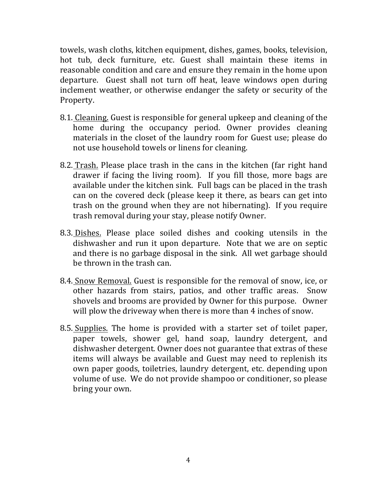towels, wash cloths, kitchen equipment, dishes, games, books, television, hot tub, deck furniture, etc. Guest shall maintain these items in reasonable condition and care and ensure they remain in the home upon departure. Guest shall not turn off heat, leave windows open during inclement weather, or otherwise endanger the safety or security of the Property.

- 8.1. Cleaning. Guest is responsible for general upkeep and cleaning of the home during the occupancy period. Owner provides cleaning materials in the closet of the laundry room for Guest use; please do not use household towels or linens for cleaning.
- 8.2. Trash. Please place trash in the cans in the kitchen (far right hand drawer if facing the living room). If you fill those, more bags are available under the kitchen sink. Full bags can be placed in the trash can on the covered deck (please keep it there, as bears can get into trash on the ground when they are not hibernating). If you require trash removal during your stay, please notify Owner.
- 8.3. Dishes. Please place soiled dishes and cooking utensils in the dishwasher and run it upon departure. Note that we are on septic and there is no garbage disposal in the sink. All wet garbage should be thrown in the trash can.
- 8.4. Snow Removal. Guest is responsible for the removal of snow, ice, or other hazards from stairs, patios, and other traffic areas. Snow shovels and brooms are provided by Owner for this purpose. Owner will plow the driveway when there is more than 4 inches of snow.
- 8.5. Supplies. The home is provided with a starter set of toilet paper, paper towels, shower gel, hand soap, laundry detergent, and dishwasher detergent. Owner does not guarantee that extras of these items will always be available and Guest may need to replenish its own paper goods, toiletries, laundry detergent, etc. depending upon volume of use. We do not provide shampoo or conditioner, so please bring your own.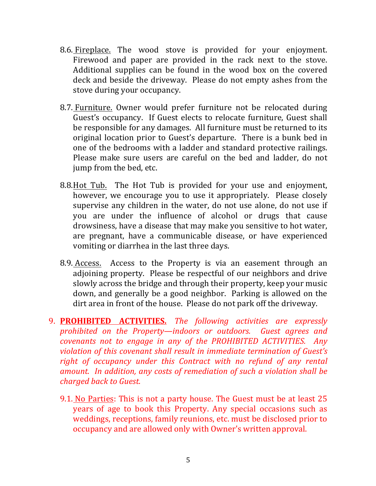- 8.6. Fireplace. The wood stove is provided for your enjoyment. Firewood and paper are provided in the rack next to the stove. Additional supplies can be found in the wood box on the covered deck and beside the driveway. Please do not empty ashes from the stove during your occupancy.
- 8.7. Furniture. Owner would prefer furniture not be relocated during Guest's occupancy. If Guest elects to relocate furniture, Guest shall be responsible for any damages. All furniture must be returned to its original location prior to Guest's departure. There is a bunk bed in one of the bedrooms with a ladder and standard protective railings. Please make sure users are careful on the bed and ladder, do not jump from the bed, etc.
- 8.8. Hot Tub. The Hot Tub is provided for your use and enjoyment, however, we encourage you to use it appropriately. Please closely supervise any children in the water, do not use alone, do not use if you are under the influence of alcohol or drugs that cause drowsiness, have a disease that may make you sensitive to hot water, are pregnant, have a communicable disease, or have experienced vomiting or diarrhea in the last three days.
- 8.9. Access. Access to the Property is via an easement through an adjoining property. Please be respectful of our neighbors and drive slowly across the bridge and through their property, keep your music down, and generally be a good neighbor. Parking is allowed on the dirt area in front of the house. Please do not park off the driveway.
- 9. **PROHIBITED ACTIVITIES.** *The following activities are expressly prohibited* on the Property—indoors or outdoors. Guest agrees and *covenants not to engage in any of the PROHIBITED ACTIVITIES. Any violation of this covenant shall result in immediate termination of Guest's right of occupancy under this Contract with no refund of any rental amount.* In addition, any costs of remediation of such a violation shall be *charged back to Guest.*
	- 9.1. No Parties: This is not a party house. The Guest must be at least 25 years of age to book this Property. Any special occasions such as weddings, receptions, family reunions, etc. must be disclosed prior to occupancy and are allowed only with Owner's written approval.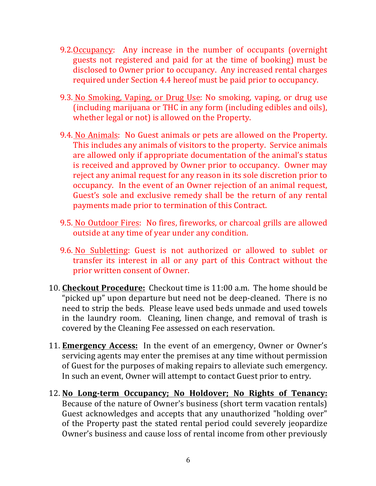- 9.2.Occupancy: Any increase in the number of occupants (overnight guests not registered and paid for at the time of booking) must be disclosed to Owner prior to occupancy. Any increased rental charges required under Section 4.4 hereof must be paid prior to occupancy.
- 9.3. No Smoking, Vaping, or Drug Use: No smoking, vaping, or drug use (including marijuana or THC in any form (including edibles and oils), whether legal or not) is allowed on the Property.
- 9.4. No Animals: No Guest animals or pets are allowed on the Property. This includes any animals of visitors to the property. Service animals are allowed only if appropriate documentation of the animal's status is received and approved by Owner prior to occupancy. Owner may reject any animal request for any reason in its sole discretion prior to occupancy. In the event of an Owner rejection of an animal request, Guest's sole and exclusive remedy shall be the return of any rental payments made prior to termination of this Contract.
- 9.5. No Outdoor Fires: No fires, fireworks, or charcoal grills are allowed outside at any time of year under any condition.
- 9.6. No Subletting: Guest is not authorized or allowed to sublet or transfer its interest in all or any part of this Contract without the prior written consent of Owner.
- 10. **Checkout Procedure:** Checkout time is 11:00 a.m. The home should be "picked up" upon departure but need not be deep-cleaned. There is no need to strip the beds. Please leave used beds unmade and used towels in the laundry room. Cleaning, linen change, and removal of trash is covered by the Cleaning Fee assessed on each reservation.
- 11. **Emergency Access:** In the event of an emergency, Owner or Owner's servicing agents may enter the premises at any time without permission of Guest for the purposes of making repairs to alleviate such emergency. In such an event, Owner will attempt to contact Guest prior to entry.
- 12. No Long-term Occupancy; No Holdover; No Rights of Tenancy: Because of the nature of Owner's business (short term vacation rentals) Guest acknowledges and accepts that any unauthorized "holding over" of the Property past the stated rental period could severely jeopardize Owner's business and cause loss of rental income from other previously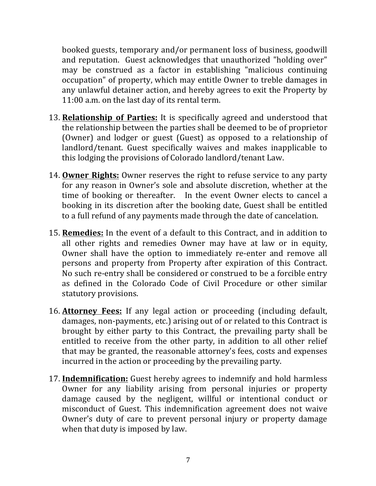booked guests, temporary and/or permanent loss of business, goodwill and reputation. Guest acknowledges that unauthorized "holding over" may be construed as a factor in establishing "malicious continuing occupation" of property, which may entitle Owner to treble damages in any unlawful detainer action, and hereby agrees to exit the Property by 11:00 a.m. on the last day of its rental term.

- 13. **Relationship of Parties:** It is specifically agreed and understood that the relationship between the parties shall be deemed to be of proprietor (Owner) and lodger or guest (Guest) as opposed to a relationship of landlord/tenant. Guest specifically waives and makes inapplicable to this lodging the provisions of Colorado landlord/tenant Law.
- 14. **Owner Rights:** Owner reserves the right to refuse service to any party for any reason in Owner's sole and absolute discretion, whether at the time of booking or thereafter. In the event Owner elects to cancel a booking in its discretion after the booking date, Guest shall be entitled to a full refund of any payments made through the date of cancelation.
- 15. **Remedies:** In the event of a default to this Contract, and in addition to all other rights and remedies Owner may have at law or in equity, Owner shall have the option to immediately re-enter and remove all persons and property from Property after expiration of this Contract. No such re-entry shall be considered or construed to be a forcible entry as defined in the Colorado Code of Civil Procedure or other similar statutory provisions.
- 16. Attorney Fees: If any legal action or proceeding (including default, damages, non-payments, etc.) arising out of or related to this Contract is brought by either party to this Contract, the prevailing party shall be entitled to receive from the other party, in addition to all other relief that may be granted, the reasonable attorney's fees, costs and expenses incurred in the action or proceeding by the prevailing party.
- 17. **Indemnification:** Guest hereby agrees to indemnify and hold harmless Owner for any liability arising from personal injuries or property damage caused by the negligent, willful or intentional conduct or misconduct of Guest. This indemnification agreement does not waive Owner's duty of care to prevent personal injury or property damage when that duty is imposed by law.